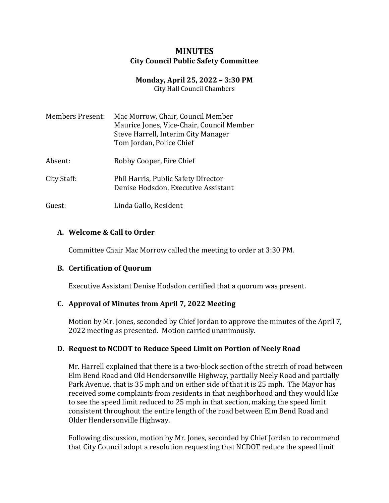## **MINUTES City Council Public Safety Committee**

# **Monday, April 25, 2022 – 3:30 PM**

City Hall Council Chambers

| <b>Members Present:</b> | Mac Morrow, Chair, Council Member<br>Maurice Jones, Vice-Chair, Council Member<br>Steve Harrell, Interim City Manager<br>Tom Jordan, Police Chief |
|-------------------------|---------------------------------------------------------------------------------------------------------------------------------------------------|
| Absent:                 | Bobby Cooper, Fire Chief                                                                                                                          |

- City Staff: Phil Harris, Public Safety Director Denise Hodsdon, Executive Assistant
- Guest: Linda Gallo, Resident

### **A. Welcome & Call to Order**

Committee Chair Mac Morrow called the meeting to order at 3:30 PM.

### **B. Certification of Quorum**

Executive Assistant Denise Hodsdon certified that a quorum was present.

### **C. Approval of Minutes from April 7, 2022 Meeting**

Motion by Mr. Jones, seconded by Chief Jordan to approve the minutes of the April 7, 2022 meeting as presented. Motion carried unanimously.

### **D. Request to NCDOT to Reduce Speed Limit on Portion of Neely Road**

Mr. Harrell explained that there is a two-block section of the stretch of road between Elm Bend Road and Old Hendersonville Highway, partially Neely Road and partially Park Avenue, that is 35 mph and on either side of that it is 25 mph. The Mayor has received some complaints from residents in that neighborhood and they would like to see the speed limit reduced to 25 mph in that section, making the speed limit consistent throughout the entire length of the road between Elm Bend Road and Older Hendersonville Highway.

Following discussion, motion by Mr. Jones, seconded by Chief Jordan to recommend that City Council adopt a resolution requesting that NCDOT reduce the speed limit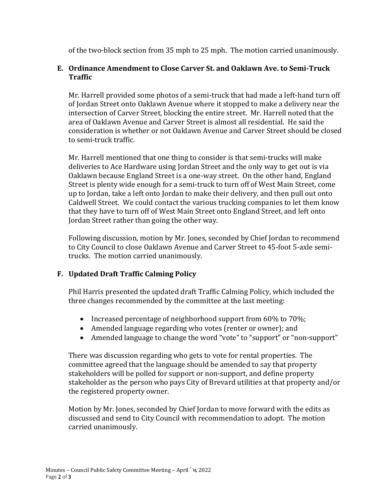of the two-block section from 35 mph to 25 mph. The motion carried unanimously.

## **E. Ordinance Amendment to Close Carver St. and Oaklawn Ave. to Semi-Truck Traffic**

Mr. Harrell provided some photos of a semi-truck that had made a left-hand turn off of Jordan Street onto Oaklawn Avenue where it stopped to make a delivery near the intersection of Carver Street, blocking the entire street. Mr. Harrell noted that the area of Oaklawn Avenue and Carver Street is almost all residential. He said the consideration is whether or not Oaklawn Avenue and Carver Street should be closed to semi-truck traffic.

Mr. Harrell mentioned that one thing to consider is that semi-trucks will make deliveries to Ace Hardware using Jordan Street and the only way to get out is via Oaklawn because England Street is a one-way street. On the other hand, England Street is plenty wide enough for a semi-truck to turn off of West Main Street, come up to Jordan, take a left onto Jordan to make their delivery, and then pull out onto Caldwell Street. We could contact the various trucking companies to let them know that they have to turn off of West Main Street onto England Street, and left onto Jordan Street rather than going the other way.

Following discussion, motion by Mr. Jones, seconded by Chief Jordan to recommend to City Council to close Oaklawn Avenue and Carver Street to 45-foot 5-axle semitrucks. The motion carried unanimously.

### **F. Updated Draft Traffic Calming Policy**

Phil Harris presented the updated draft Traffic Calming Policy, which included the three changes recommended by the committee at the last meeting:

- Increased percentage of neighborhood support from  $60\%$  to  $70\%$ ;
- Amended language regarding who votes (renter or owner); and
- Amended language to change the word "vote" to "support" or "non-support"

There was discussion regarding who gets to vote for rental properties. The committee agreed that the language should be amended to say that property stakeholders will be polled for support or non-support, and define property stakeholder as the person who pays City of Brevard utilities at that property and/or the registered property owner.

Motion by Mr. Jones, seconded by Chief Jordan to move forward with the edits as discussed and send to City Council with recommendation to adopt. The motion carried unanimously.